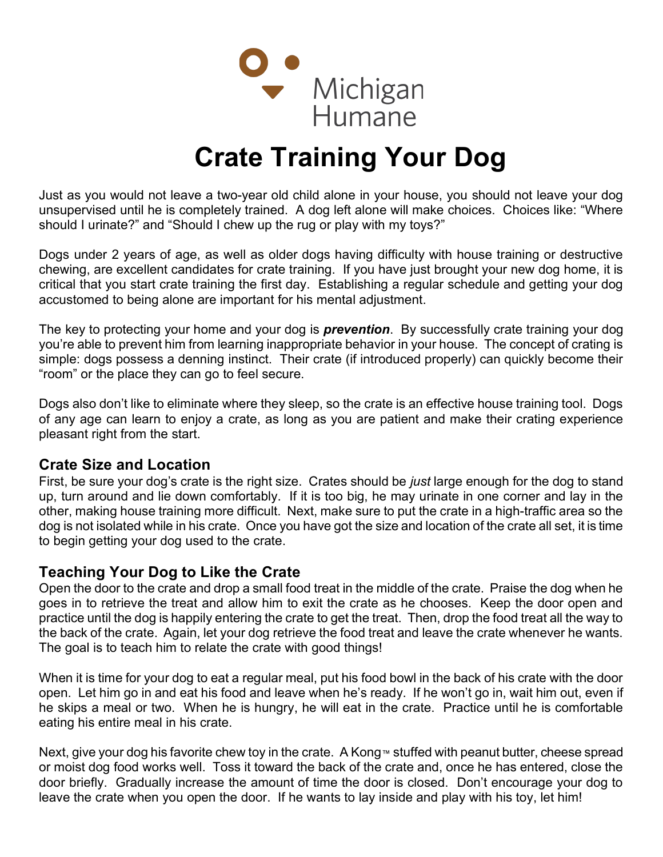

## Crate Training Your Dog

Just as you would not leave a two-year old child alone in your house, you should not leave your dog unsupervised until he is completely trained. A dog left alone will make choices. Choices like: "Where should I urinate?" and "Should I chew up the rug or play with my toys?"

Dogs under 2 years of age, as well as older dogs having difficulty with house training or destructive chewing, are excellent candidates for crate training. If you have just brought your new dog home, it is critical that you start crate training the first day. Establishing a regular schedule and getting your dog accustomed to being alone are important for his mental adjustment.

The key to protecting your home and your dog is **prevention**. By successfully crate training your dog you're able to prevent him from learning inappropriate behavior in your house. The concept of crating is simple: dogs possess a denning instinct. Their crate (if introduced properly) can quickly become their "room" or the place they can go to feel secure.

Dogs also don't like to eliminate where they sleep, so the crate is an effective house training tool. Dogs of any age can learn to enjoy a crate, as long as you are patient and make their crating experience pleasant right from the start.

## Crate Size and Location

First, be sure your dog's crate is the right size. Crates should be *just* large enough for the dog to stand up, turn around and lie down comfortably. If it is too big, he may urinate in one corner and lay in the other, making house training more difficult. Next, make sure to put the crate in a high-traffic area so the dog is not isolated while in his crate. Once you have got the size and location of the crate all set, it is time to begin getting your dog used to the crate.

## Teaching Your Dog to Like the Crate

Open the door to the crate and drop a small food treat in the middle of the crate. Praise the dog when he goes in to retrieve the treat and allow him to exit the crate as he chooses. Keep the door open and practice until the dog is happily entering the crate to get the treat. Then, drop the food treat all the way to the back of the crate. Again, let your dog retrieve the food treat and leave the crate whenever he wants. The goal is to teach him to relate the crate with good things!

When it is time for your dog to eat a regular meal, put his food bowl in the back of his crate with the door open. Let him go in and eat his food and leave when he's ready. If he won't go in, wait him out, even if he skips a meal or two. When he is hungry, he will eat in the crate. Practice until he is comfortable eating his entire meal in his crate.

Next, give your dog his favorite chew toy in the crate. A Kong™ stuffed with peanut butter, cheese spread or moist dog food works well. Toss it toward the back of the crate and, once he has entered, close the door briefly. Gradually increase the amount of time the door is closed. Don't encourage your dog to leave the crate when you open the door. If he wants to lay inside and play with his toy, let him!